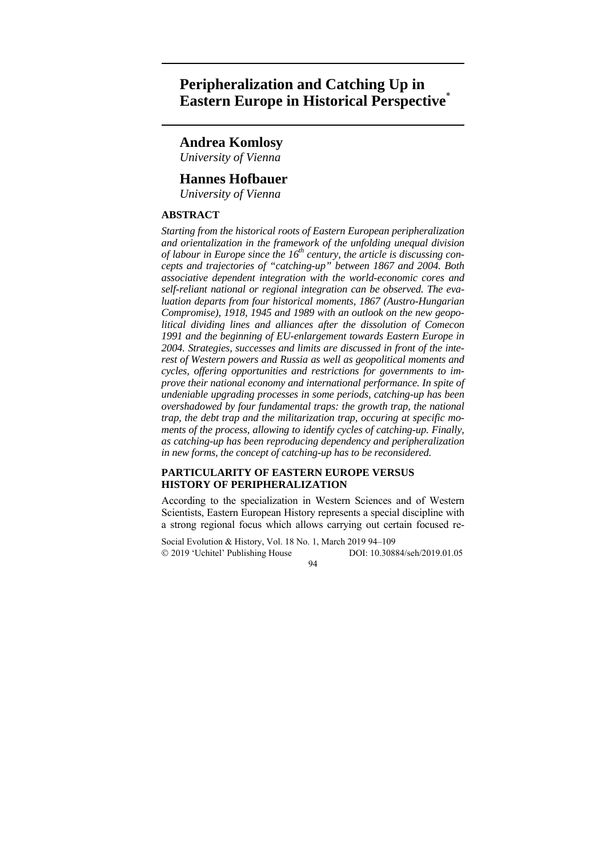# **Peripheralization and Catching Up in Eastern Europe in Historical Perspective**\*

## **Andrea Komlosy**

*University of Vienna* 

## **Hannes Hofbauer**

*University of Vienna* 

## **ABSTRACT**

*Starting from the historical roots of Eastern European peripheralization and orientalization in the framework of the unfolding unequal division of labour in Europe since the 16th century, the article is discussing concepts and trajectories of "catching-up" between 1867 and 2004. Both associative dependent integration with the world-economic cores and self-reliant national or regional integration can be observed. The evaluation departs from four historical moments, 1867 (Austro-Hungarian Compromise), 1918, 1945 and 1989 with an outlook on the new geopolitical dividing lines and alliances after the dissolution of Comecon 1991 and the beginning of EU-enlargement towards Eastern Europe in 2004. Strategies, successes and limits are discussed in front of the interest of Western powers and Russia as well as geopolitical moments and cycles, offering opportunities and restrictions for governments to improve their national economy and international performance. In spite of undeniable upgrading processes in some periods, catching-up has been overshadowed by four fundamental traps: the growth trap, the national trap, the debt trap and the militarization trap, occuring at specific moments of the process, allowing to identify cycles of catching-up. Finally, as catching-up has been reproducing dependency and peripheralization in new forms, the concept of catching-up has to be reconsidered.* 

## **PARTICULARITY OF EASTERN EUROPE VERSUS HISTORY OF PERIPHERALIZATION**

According to the specialization in Western Sciences and of Western Scientists, Eastern European History represents a special discipline with a strong regional focus which allows carrying out certain focused re-

Social Evolution & History, Vol. 18 No. 1, March 2019 94–109 2019 'Uchitel' Publishing House DOI: 10.30884/seh/2019.01.05  $Q\Delta$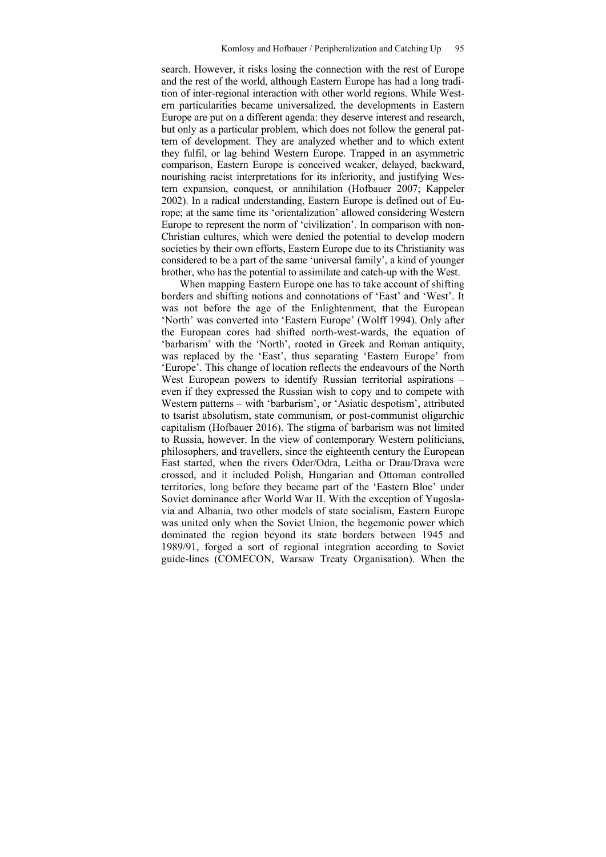search. However, it risks losing the connection with the rest of Europe and the rest of the world, although Eastern Europe has had a long tradition of inter-regional interaction with other world regions. While Western particularities became universalized, the developments in Eastern Europe are put on a different agenda: they deserve interest and research, but only as a particular problem, which does not follow the general pattern of development. They are analyzed whether and to which extent they fulfil, or lag behind Western Europe. Trapped in an asymmetric comparison, Eastern Europe is conceived weaker, delayed, backward, nourishing racist interpretations for its inferiority, and justifying Western expansion, conquest, or annihilation (Hofbauer 2007; Kappeler 2002). In a radical understanding, Eastern Europe is defined out of Europe; at the same time its 'orientalization' allowed considering Western Europe to represent the norm of 'civilization'. In comparison with non-Christian cultures, which were denied the potential to develop modern societies by their own efforts, Eastern Europe due to its Christianity was considered to be a part of the same 'universal family', a kind of younger brother, who has the potential to assimilate and catch-up with the West.

When mapping Eastern Europe one has to take account of shifting borders and shifting notions and connotations of 'East' and 'West'. It was not before the age of the Enlightenment, that the European 'North' was converted into 'Eastern Europe' (Wolff 1994). Only after the European cores had shifted north-west-wards, the equation of 'barbarism' with the 'North', rooted in Greek and Roman antiquity, was replaced by the 'East', thus separating 'Eastern Europe' from 'Europe'. This change of location reflects the endeavours of the North West European powers to identify Russian territorial aspirations – even if they expressed the Russian wish to copy and to compete with Western patterns – with 'barbarism', or 'Asiatic despotism', attributed to tsarist absolutism, state communism, or post-communist oligarchic capitalism (Hofbauer 2016). The stigma of barbarism was not limited to Russia, however. In the view of contemporary Western politicians, philosophers, and travellers, since the eighteenth century the European East started, when the rivers Oder/Odra, Leitha or Drau/Drava were crossed, and it included Polish, Hungarian and Ottoman controlled territories, long before they became part of the 'Eastern Bloc' under Soviet dominance after World War II. With the exception of Yugoslavia and Albania, two other models of state socialism, Eastern Europe was united only when the Soviet Union, the hegemonic power which dominated the region beyond its state borders between 1945 and 1989/91, forged a sort of regional integration according to Soviet guide-lines (COMECON, Warsaw Treaty Organisation). When the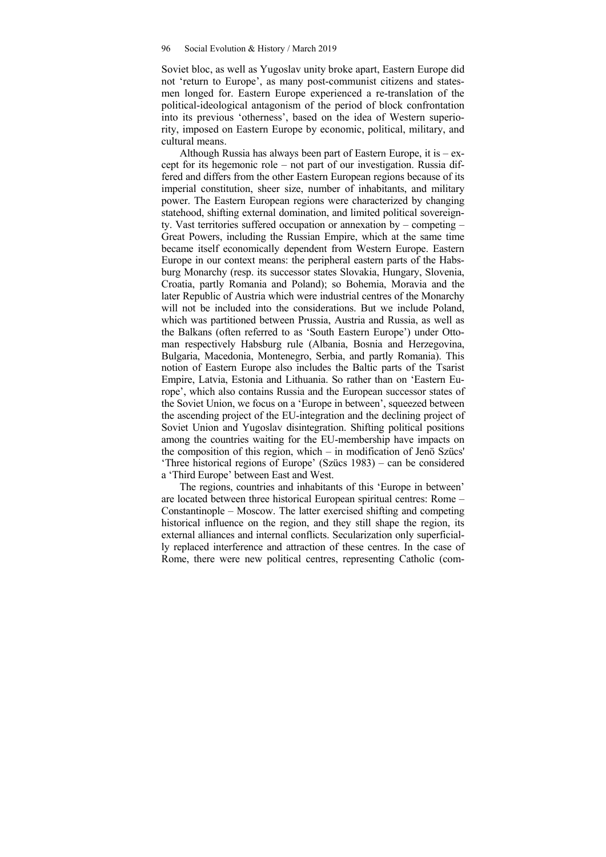Soviet bloc, as well as Yugoslav unity broke apart, Eastern Europe did not 'return to Europe', as many post-communist citizens and statesmen longed for. Eastern Europe experienced a re-translation of the political-ideological antagonism of the period of block confrontation into its previous 'otherness', based on the idea of Western superiority, imposed on Eastern Europe by economic, political, military, and cultural means.

Although Russia has always been part of Eastern Europe, it is  $-$  except for its hegemonic role – not part of our investigation. Russia differed and differs from the other Eastern European regions because of its imperial constitution, sheer size, number of inhabitants, and military power. The Eastern European regions were characterized by changing statehood, shifting external domination, and limited political sovereignty. Vast territories suffered occupation or annexation by – competing – Great Powers, including the Russian Empire, which at the same time became itself economically dependent from Western Europe. Eastern Europe in our context means: the peripheral eastern parts of the Habsburg Monarchy (resp. its successor states Slovakia, Hungary, Slovenia, Croatia, partly Romania and Poland); so Bohemia, Moravia and the later Republic of Austria which were industrial centres of the Monarchy will not be included into the considerations. But we include Poland, which was partitioned between Prussia, Austria and Russia, as well as the Balkans (often referred to as 'South Eastern Europe') under Ottoman respectively Habsburg rule (Albania, Bosnia and Herzegovina, Bulgaria, Macedonia, Montenegro, Serbia, and partly Romania). This notion of Eastern Europe also includes the Baltic parts of the Tsarist Empire, Latvia, Estonia and Lithuania. So rather than on 'Eastern Europe', which also contains Russia and the European successor states of the Soviet Union, we focus on a 'Europe in between', squeezed between the ascending project of the EU-integration and the declining project of Soviet Union and Yugoslav disintegration. Shifting political positions among the countries waiting for the EU-membership have impacts on the composition of this region, which – in modification of Jenö Szücs' 'Three historical regions of Europe' (Szücs 1983) – can be considered a 'Third Europe' between East and West.

The regions, countries and inhabitants of this 'Europe in between' are located between three historical European spiritual centres: Rome – Constantinople – Moscow. The latter exercised shifting and competing historical influence on the region, and they still shape the region, its external alliances and internal conflicts. Secularization only superficially replaced interference and attraction of these centres. In the case of Rome, there were new political centres, representing Catholic (com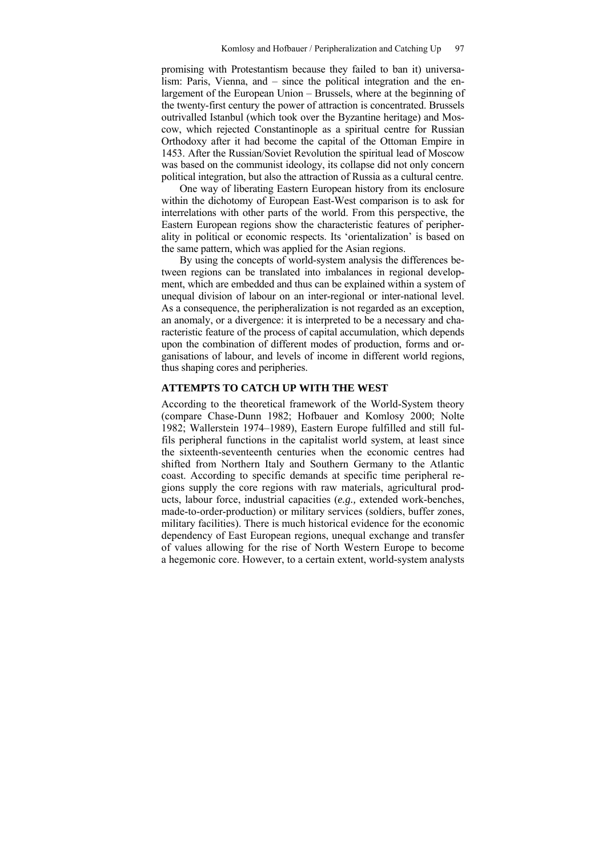promising with Protestantism because they failed to ban it) universalism: Paris, Vienna, and – since the political integration and the enlargement of the European Union – Brussels, where at the beginning of the twenty-first century the power of attraction is concentrated. Brussels outrivalled Istanbul (which took over the Byzantine heritage) and Moscow, which rejected Constantinople as a spiritual centre for Russian Orthodoxy after it had become the capital of the Ottoman Empire in 1453. After the Russian/Soviet Revolution the spiritual lead of Moscow was based on the communist ideology, its collapse did not only concern political integration, but also the attraction of Russia as a cultural centre.

One way of liberating Eastern European history from its enclosure within the dichotomy of European East-West comparison is to ask for interrelations with other parts of the world. From this perspective, the Eastern European regions show the characteristic features of peripherality in political or economic respects. Its 'orientalization' is based on the same pattern, which was applied for the Asian regions.

By using the concepts of world-system analysis the differences between regions can be translated into imbalances in regional development, which are embedded and thus can be explained within a system of unequal division of labour on an inter-regional or inter-national level. As a consequence, the peripheralization is not regarded as an exception. an anomaly, or a divergence: it is interpreted to be a necessary and characteristic feature of the process of capital accumulation, which depends upon the combination of different modes of production, forms and organisations of labour, and levels of income in different world regions, thus shaping cores and peripheries.

### **ATTEMPTS TO CATCH UP WITH THE WEST**

According to the theoretical framework of the World-System theory (compare Chase-Dunn 1982; Hofbauer and Komlosy 2000; Nolte 1982; Wallerstein 1974–1989), Eastern Europe fulfilled and still fulfils peripheral functions in the capitalist world system, at least since the sixteenth-seventeenth centuries when the economic centres had shifted from Northern Italy and Southern Germany to the Atlantic coast. According to specific demands at specific time peripheral regions supply the core regions with raw materials, agricultural products, labour force, industrial capacities (*e.g.,* extended work-benches, made-to-order-production) or military services (soldiers, buffer zones, military facilities). There is much historical evidence for the economic dependency of East European regions, unequal exchange and transfer of values allowing for the rise of North Western Europe to become a hegemonic core. However, to a certain extent, world-system analysts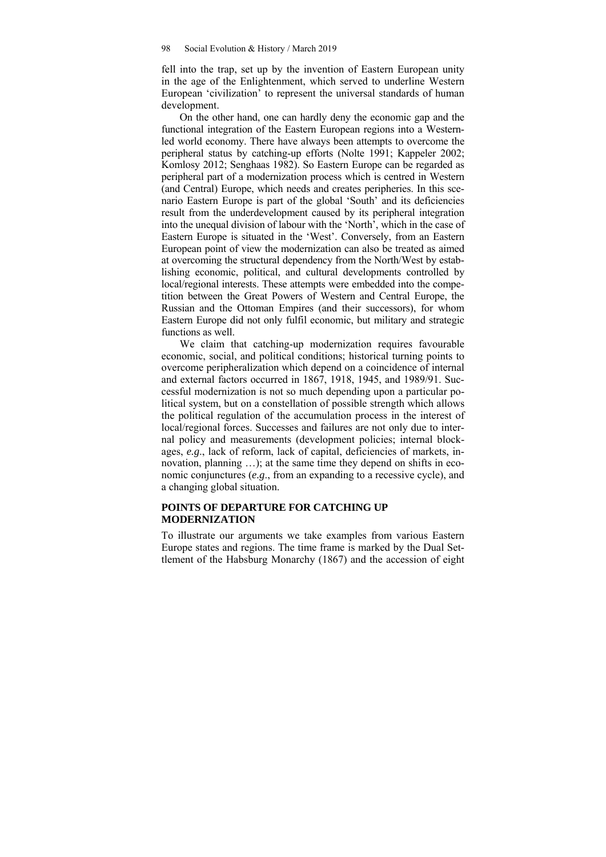fell into the trap, set up by the invention of Eastern European unity in the age of the Enlightenment, which served to underline Western European 'civilization' to represent the universal standards of human development.

On the other hand, one can hardly deny the economic gap and the functional integration of the Eastern European regions into a Westernled world economy. There have always been attempts to overcome the peripheral status by catching-up efforts (Nolte 1991; Kappeler 2002; Komlosy 2012; Senghaas 1982). So Eastern Europe can be regarded as peripheral part of a modernization process which is centred in Western (and Central) Europe, which needs and creates peripheries. In this scenario Eastern Europe is part of the global 'South' and its deficiencies result from the underdevelopment caused by its peripheral integration into the unequal division of labour with the 'North', which in the case of Eastern Europe is situated in the 'West'. Conversely, from an Eastern European point of view the modernization can also be treated as aimed at overcoming the structural dependency from the North/West by establishing economic, political, and cultural developments controlled by local/regional interests. These attempts were embedded into the competition between the Great Powers of Western and Central Europe, the Russian and the Ottoman Empires (and their successors), for whom Eastern Europe did not only fulfil economic, but military and strategic functions as well.

We claim that catching-up modernization requires favourable economic, social, and political conditions; historical turning points to overcome peripheralization which depend on a coincidence of internal and external factors occurred in 1867, 1918, 1945, and 1989/91. Successful modernization is not so much depending upon a particular political system, but on a constellation of possible strength which allows the political regulation of the accumulation process in the interest of local/regional forces. Successes and failures are not only due to internal policy and measurements (development policies; internal blockages, *e.g*., lack of reform, lack of capital, deficiencies of markets, innovation, planning …); at the same time they depend on shifts in economic conjunctures (*e.g*., from an expanding to a recessive cycle), and a changing global situation.

## **POINTS OF DEPARTURE FOR CATCHING UP MODERNIZATION**

To illustrate our arguments we take examples from various Eastern Europe states and regions. The time frame is marked by the Dual Settlement of the Habsburg Monarchy (1867) and the accession of eight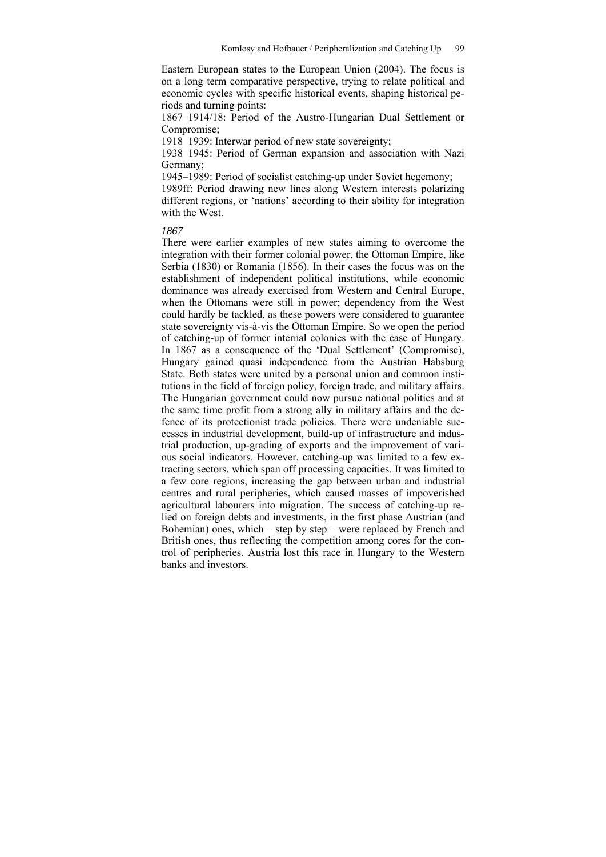Eastern European states to the European Union (2004). The focus is on a long term comparative perspective, trying to relate political and economic cycles with specific historical events, shaping historical periods and turning points:

1867–1914/18: Period of the Austro-Hungarian Dual Settlement or Compromise;

1918–1939: Interwar period of new state sovereignty;

1938–1945: Period of German expansion and association with Nazi Germany;

1945–1989: Period of socialist catching-up under Soviet hegemony;

1989ff: Period drawing new lines along Western interests polarizing different regions, or 'nations' according to their ability for integration with the West.

*1867* 

There were earlier examples of new states aiming to overcome the integration with their former colonial power, the Ottoman Empire, like Serbia (1830) or Romania (1856). In their cases the focus was on the establishment of independent political institutions, while economic dominance was already exercised from Western and Central Europe, when the Ottomans were still in power; dependency from the West could hardly be tackled, as these powers were considered to guarantee state sovereignty vis-à-vis the Ottoman Empire. So we open the period of catching-up of former internal colonies with the case of Hungary. In 1867 as a consequence of the 'Dual Settlement' (Compromise), Hungary gained quasi independence from the Austrian Habsburg State. Both states were united by a personal union and common institutions in the field of foreign policy, foreign trade, and military affairs. The Hungarian government could now pursue national politics and at the same time profit from a strong ally in military affairs and the defence of its protectionist trade policies. There were undeniable successes in industrial development, build-up of infrastructure and industrial production, up-grading of exports and the improvement of various social indicators. However, catching-up was limited to a few extracting sectors, which span off processing capacities. It was limited to a few core regions, increasing the gap between urban and industrial centres and rural peripheries, which caused masses of impoverished agricultural labourers into migration. The success of catching-up relied on foreign debts and investments, in the first phase Austrian (and Bohemian) ones, which – step by step – were replaced by French and British ones, thus reflecting the competition among cores for the control of peripheries. Austria lost this race in Hungary to the Western banks and investors.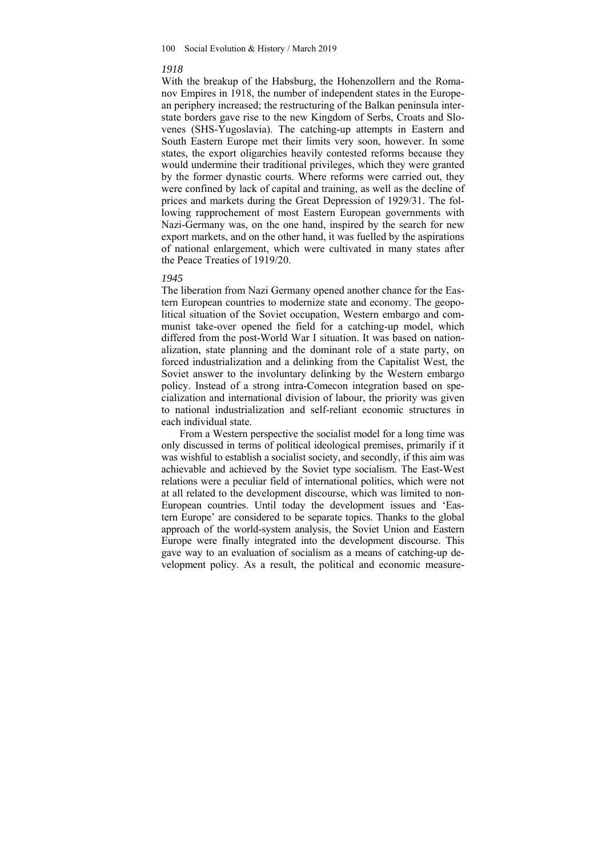#### *1918*

With the breakup of the Habsburg, the Hohenzollern and the Romanov Empires in 1918, the number of independent states in the European periphery increased; the restructuring of the Balkan peninsula interstate borders gave rise to the new Kingdom of Serbs, Croats and Slovenes (SHS-Yugoslavia). The catching-up attempts in Eastern and South Eastern Europe met their limits very soon, however. In some states, the export oligarchies heavily contested reforms because they would undermine their traditional privileges, which they were granted by the former dynastic courts. Where reforms were carried out, they were confined by lack of capital and training, as well as the decline of prices and markets during the Great Depression of 1929/31. The following rapprochement of most Eastern European governments with Nazi-Germany was, on the one hand, inspired by the search for new export markets, and on the other hand, it was fuelled by the aspirations of national enlargement, which were cultivated in many states after the Peace Treaties of 1919/20.

#### *1945*

The liberation from Nazi Germany opened another chance for the Eastern European countries to modernize state and economy. The geopolitical situation of the Soviet occupation, Western embargo and communist take-over opened the field for a catching-up model, which differed from the post-World War I situation. It was based on nationalization, state planning and the dominant role of a state party, on forced industrialization and a delinking from the Capitalist West, the Soviet answer to the involuntary delinking by the Western embargo policy. Instead of a strong intra-Comecon integration based on specialization and international division of labour, the priority was given to national industrialization and self-reliant economic structures in each individual state.

From a Western perspective the socialist model for a long time was only discussed in terms of political ideological premises, primarily if it was wishful to establish a socialist society, and secondly, if this aim was achievable and achieved by the Soviet type socialism. The East-West relations were a peculiar field of international politics, which were not at all related to the development discourse, which was limited to non-European countries. Until today the development issues and 'Eastern Europe' are considered to be separate topics. Thanks to the global approach of the world-system analysis, the Soviet Union and Eastern Europe were finally integrated into the development discourse. This gave way to an evaluation of socialism as a means of catching-up development policy. As a result, the political and economic measure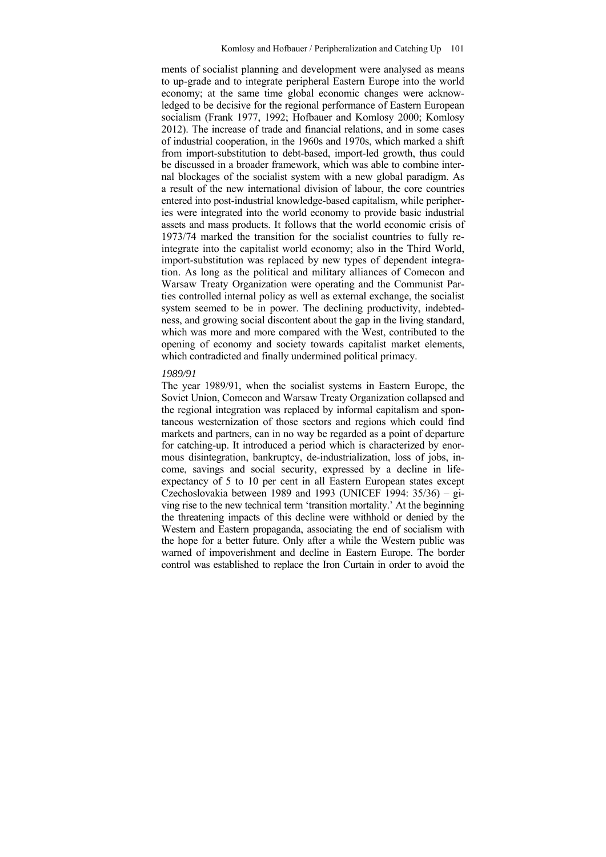ments of socialist planning and development were analysed as means to up-grade and to integrate peripheral Eastern Europe into the world economy; at the same time global economic changes were acknowledged to be decisive for the regional performance of Eastern European socialism (Frank 1977, 1992; Hofbauer and Komlosy 2000; Komlosy 2012). The increase of trade and financial relations, and in some cases of industrial cooperation, in the 1960s and 1970s, which marked a shift from import-substitution to debt-based, import-led growth, thus could be discussed in a broader framework, which was able to combine internal blockages of the socialist system with a new global paradigm. As a result of the new international division of labour, the core countries entered into post-industrial knowledge-based capitalism, while peripheries were integrated into the world economy to provide basic industrial assets and mass products. It follows that the world economic crisis of 1973/74 marked the transition for the socialist countries to fully reintegrate into the capitalist world economy; also in the Third World, import-substitution was replaced by new types of dependent integration. As long as the political and military alliances of Comecon and Warsaw Treaty Organization were operating and the Communist Parties controlled internal policy as well as external exchange, the socialist system seemed to be in power. The declining productivity, indebtedness, and growing social discontent about the gap in the living standard, which was more and more compared with the West, contributed to the opening of economy and society towards capitalist market elements, which contradicted and finally undermined political primacy.

#### *1989/91*

The year 1989/91, when the socialist systems in Eastern Europe, the Soviet Union, Comecon and Warsaw Treaty Organization collapsed and the regional integration was replaced by informal capitalism and spontaneous westernization of those sectors and regions which could find markets and partners, can in no way be regarded as a point of departure for catching-up. It introduced a period which is characterized by enormous disintegration, bankruptcy, de-industrialization, loss of jobs, income, savings and social security, expressed by a decline in lifeexpectancy of 5 to 10 per cent in all Eastern European states except Czechoslovakia between 1989 and 1993 (UNICEF 1994: 35/36) – giving rise to the new technical term 'transition mortality.' At the beginning the threatening impacts of this decline were withhold or denied by the Western and Eastern propaganda, associating the end of socialism with the hope for a better future. Only after a while the Western public was warned of impoverishment and decline in Eastern Europe. The border control was established to replace the Iron Curtain in order to avoid the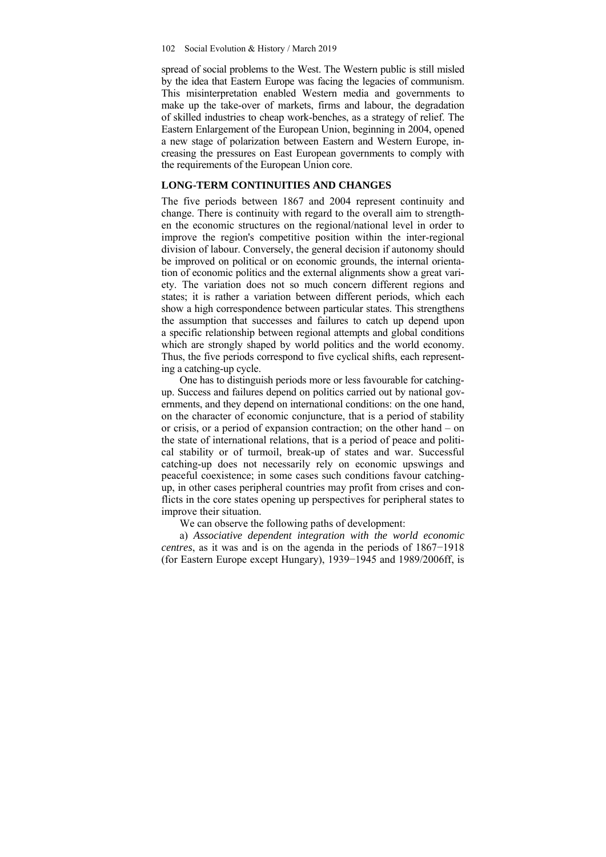#### 102 Social Evolution & History / March 2019

spread of social problems to the West. The Western public is still misled by the idea that Eastern Europe was facing the legacies of communism. This misinterpretation enabled Western media and governments to make up the take-over of markets, firms and labour, the degradation of skilled industries to cheap work-benches, as a strategy of relief. The Eastern Enlargement of the European Union, beginning in 2004, opened a new stage of polarization between Eastern and Western Europe, increasing the pressures on East European governments to comply with the requirements of the European Union core.

## **LONG-TERM CONTINUITIES AND CHANGES**

The five periods between 1867 and 2004 represent continuity and change. There is continuity with regard to the overall aim to strengthen the economic structures on the regional/national level in order to improve the region's competitive position within the inter-regional division of labour. Conversely, the general decision if autonomy should be improved on political or on economic grounds, the internal orientation of economic politics and the external alignments show a great variety. The variation does not so much concern different regions and states; it is rather a variation between different periods, which each show a high correspondence between particular states. This strengthens the assumption that successes and failures to catch up depend upon a specific relationship between regional attempts and global conditions which are strongly shaped by world politics and the world economy. Thus, the five periods correspond to five cyclical shifts, each representing a catching-up cycle.

One has to distinguish periods more or less favourable for catchingup. Success and failures depend on politics carried out by national governments, and they depend on international conditions: on the one hand, on the character of economic conjuncture, that is a period of stability or crisis, or a period of expansion contraction; on the other hand – on the state of international relations, that is a period of peace and political stability or of turmoil, break-up of states and war. Successful catching-up does not necessarily rely on economic upswings and peaceful coexistence; in some cases such conditions favour catchingup, in other cases peripheral countries may profit from crises and conflicts in the core states opening up perspectives for peripheral states to improve their situation.

We can observe the following paths of development:

a) *Associative dependent integration with the world economic centres*, as it was and is on the agenda in the periods of 1867−1918 (for Eastern Europe except Hungary), 1939−1945 and 1989/2006ff, is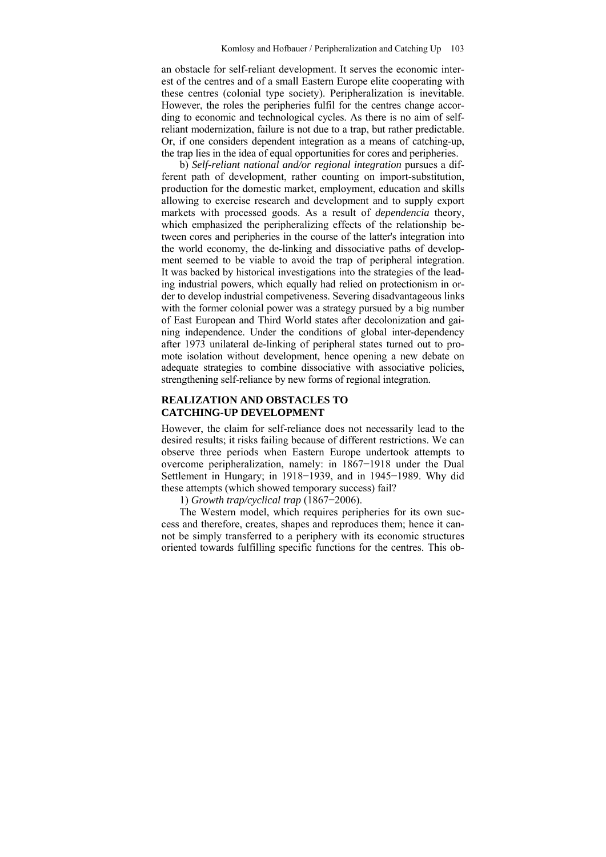an obstacle for self-reliant development. It serves the economic interest of the centres and of a small Eastern Europe elite cooperating with these centres (colonial type society). Peripheralization is inevitable. However, the roles the peripheries fulfil for the centres change according to economic and technological cycles. As there is no aim of selfreliant modernization, failure is not due to a trap, but rather predictable. Or, if one considers dependent integration as a means of catching-up, the trap lies in the idea of equal opportunities for cores and peripheries.

b) *Self-reliant national and/or regional integration* pursues a different path of development, rather counting on import-substitution, production for the domestic market, employment, education and skills allowing to exercise research and development and to supply export markets with processed goods. As a result of *dependencia* theory, which emphasized the peripheralizing effects of the relationship between cores and peripheries in the course of the latter's integration into the world economy, the de-linking and dissociative paths of development seemed to be viable to avoid the trap of peripheral integration. It was backed by historical investigations into the strategies of the leading industrial powers, which equally had relied on protectionism in order to develop industrial competiveness. Severing disadvantageous links with the former colonial power was a strategy pursued by a big number of East European and Third World states after decolonization and gaining independence. Under the conditions of global inter-dependency after 1973 unilateral de-linking of peripheral states turned out to promote isolation without development, hence opening a new debate on adequate strategies to combine dissociative with associative policies, strengthening self-reliance by new forms of regional integration.

## **REALIZATION AND OBSTACLES TO CATCHING-UP DEVELOPMENT**

However, the claim for self-reliance does not necessarily lead to the desired results; it risks failing because of different restrictions. We can observe three periods when Eastern Europe undertook attempts to overcome peripheralization, namely: in 1867−1918 under the Dual Settlement in Hungary; in 1918−1939, and in 1945−1989. Why did these attempts (which showed temporary success) fail?

1) *Growth trap/cyclical trap* (1867−2006).

The Western model, which requires peripheries for its own success and therefore, creates, shapes and reproduces them; hence it cannot be simply transferred to a periphery with its economic structures oriented towards fulfilling specific functions for the centres. This ob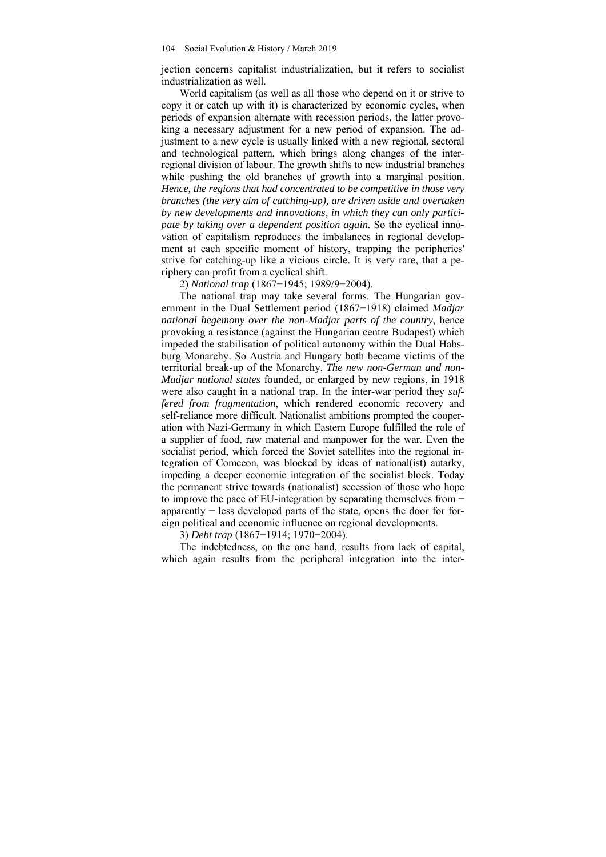jection concerns capitalist industrialization, but it refers to socialist industrialization as well.

World capitalism (as well as all those who depend on it or strive to copy it or catch up with it) is characterized by economic cycles, when periods of expansion alternate with recession periods, the latter provoking a necessary adjustment for a new period of expansion. The adjustment to a new cycle is usually linked with a new regional, sectoral and technological pattern, which brings along changes of the interregional division of labour. The growth shifts to new industrial branches while pushing the old branches of growth into a marginal position. *Hence, the regions that had concentrated to be competitive in those very branches (the very aim of catching-up), are driven aside and overtaken by new developments and innovations, in which they can only participate by taking over a dependent position again.* So the cyclical innovation of capitalism reproduces the imbalances in regional development at each specific moment of history, trapping the peripheries' strive for catching-up like a vicious circle. It is very rare, that a periphery can profit from a cyclical shift.

2) *National trap* (1867−1945; 1989/9−2004).

The national trap may take several forms. The Hungarian government in the Dual Settlement period (1867−1918) claimed *Madjar national hegemony over the non-Madjar parts of the country*, hence provoking a resistance (against the Hungarian centre Budapest) which impeded the stabilisation of political autonomy within the Dual Habsburg Monarchy. So Austria and Hungary both became victims of the territorial break-up of the Monarchy. *The new non-German and non-Madjar national states* founded, or enlarged by new regions, in 1918 were also caught in a national trap. In the inter-war period they *suffered from fragmentation*, which rendered economic recovery and self-reliance more difficult. Nationalist ambitions prompted the cooperation with Nazi-Germany in which Eastern Europe fulfilled the role of a supplier of food, raw material and manpower for the war. Even the socialist period, which forced the Soviet satellites into the regional integration of Comecon, was blocked by ideas of national(ist) autarky, impeding a deeper economic integration of the socialist block. Today the permanent strive towards (nationalist) secession of those who hope to improve the pace of EU-integration by separating themselves from − apparently − less developed parts of the state, opens the door for foreign political and economic influence on regional developments.

3) *Debt trap* (1867−1914; 1970−2004).

The indebtedness, on the one hand, results from lack of capital, which again results from the peripheral integration into the inter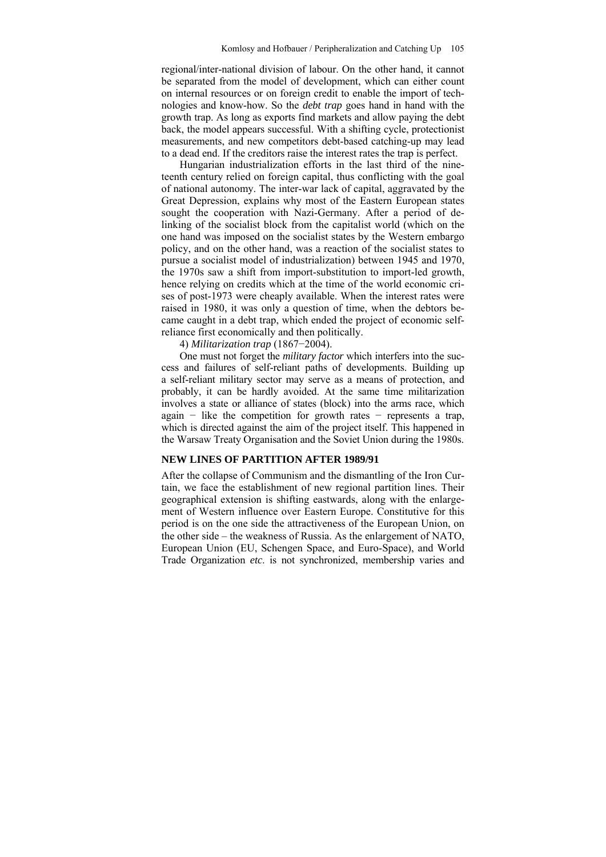regional/inter-national division of labour. On the other hand, it cannot be separated from the model of development, which can either count on internal resources or on foreign credit to enable the import of technologies and know-how. So the *debt trap* goes hand in hand with the growth trap. As long as exports find markets and allow paying the debt back, the model appears successful. With a shifting cycle, protectionist measurements, and new competitors debt-based catching-up may lead to a dead end. If the creditors raise the interest rates the trap is perfect.

Hungarian industrialization efforts in the last third of the nineteenth century relied on foreign capital, thus conflicting with the goal of national autonomy. The inter-war lack of capital, aggravated by the Great Depression, explains why most of the Eastern European states sought the cooperation with Nazi-Germany. After a period of delinking of the socialist block from the capitalist world (which on the one hand was imposed on the socialist states by the Western embargo policy, and on the other hand, was a reaction of the socialist states to pursue a socialist model of industrialization) between 1945 and 1970, the 1970s saw a shift from import-substitution to import-led growth, hence relying on credits which at the time of the world economic crises of post-1973 were cheaply available. When the interest rates were raised in 1980, it was only a question of time, when the debtors became caught in a debt trap, which ended the project of economic selfreliance first economically and then politically.

4) *Militarization trap* (1867−2004).

One must not forget the *military factor* which interfers into the success and failures of self-reliant paths of developments. Building up a self-reliant military sector may serve as a means of protection, and probably, it can be hardly avoided. At the same time militarization involves a state or alliance of states (block) into the arms race, which again − like the competition for growth rates − represents a trap, which is directed against the aim of the project itself. This happened in the Warsaw Treaty Organisation and the Soviet Union during the 1980s.

#### **NEW LINES OF PARTITION AFTER 1989/91**

After the collapse of Communism and the dismantling of the Iron Curtain, we face the establishment of new regional partition lines. Their geographical extension is shifting eastwards, along with the enlargement of Western influence over Eastern Europe. Constitutive for this period is on the one side the attractiveness of the European Union, on the other side – the weakness of Russia. As the enlargement of NATO, European Union (EU, Schengen Space, and Euro-Space), and World Trade Organization *etc*. is not synchronized, membership varies and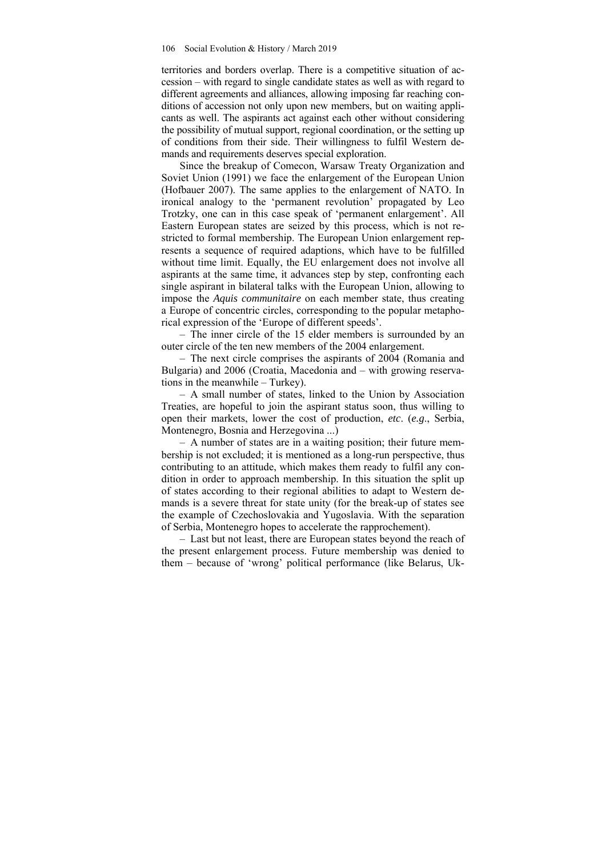territories and borders overlap. There is a competitive situation of accession – with regard to single candidate states as well as with regard to different agreements and alliances, allowing imposing far reaching conditions of accession not only upon new members, but on waiting applicants as well. The aspirants act against each other without considering the possibility of mutual support, regional coordination, or the setting up of conditions from their side. Their willingness to fulfil Western demands and requirements deserves special exploration.

Since the breakup of Comecon, Warsaw Treaty Organization and Soviet Union (1991) we face the enlargement of the European Union (Hofbauer 2007). The same applies to the enlargement of NATO. In ironical analogy to the 'permanent revolution' propagated by Leo Trotzky, one can in this case speak of 'permanent enlargement'. All Eastern European states are seized by this process, which is not restricted to formal membership. The European Union enlargement represents a sequence of required adaptions, which have to be fulfilled without time limit. Equally, the EU enlargement does not involve all aspirants at the same time, it advances step by step, confronting each single aspirant in bilateral talks with the European Union, allowing to impose the *Aquis communitaire* on each member state, thus creating a Europe of concentric circles, corresponding to the popular metaphorical expression of the 'Europe of different speeds'.

– The inner circle of the 15 elder members is surrounded by an outer circle of the ten new members of the 2004 enlargement.

– The next circle comprises the aspirants of 2004 (Romania and Bulgaria) and 2006 (Croatia, Macedonia and – with growing reservations in the meanwhile – Turkey).

– A small number of states, linked to the Union by Association Treaties, are hopeful to join the aspirant status soon, thus willing to open their markets, lower the cost of production, *etc*. (*e.g*., Serbia, Montenegro, Bosnia and Herzegovina ...)

– A number of states are in a waiting position; their future membership is not excluded; it is mentioned as a long-run perspective, thus contributing to an attitude, which makes them ready to fulfil any condition in order to approach membership. In this situation the split up of states according to their regional abilities to adapt to Western demands is a severe threat for state unity (for the break-up of states see the example of Czechoslovakia and Yugoslavia. With the separation of Serbia, Montenegro hopes to accelerate the rapprochement).

– Last but not least, there are European states beyond the reach of the present enlargement process. Future membership was denied to them – because of 'wrong' political performance (like Belarus, Uk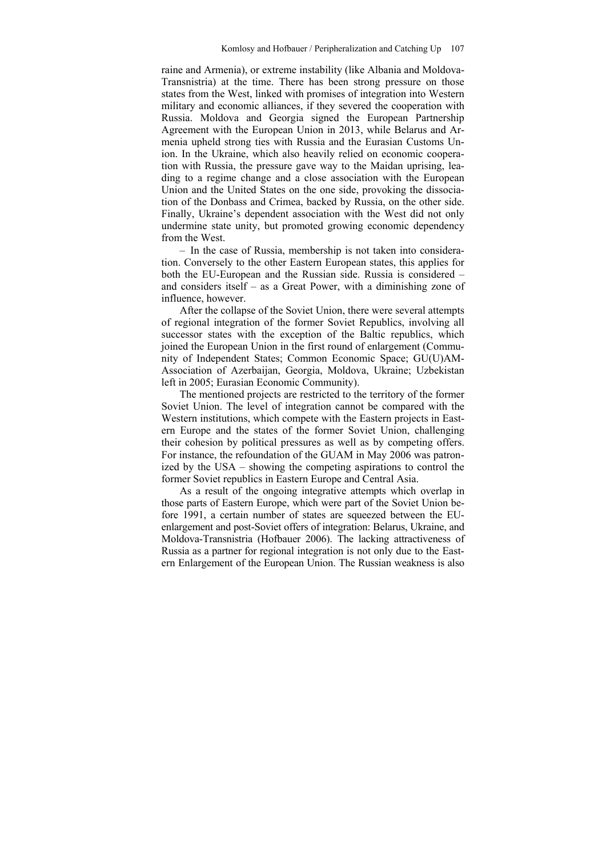raine and Armenia), or extreme instability (like Albania and Moldova-Transnistria) at the time. There has been strong pressure on those states from the West, linked with promises of integration into Western military and economic alliances, if they severed the cooperation with Russia. Moldova and Georgia signed the European Partnership Agreement with the European Union in 2013, while Belarus and Armenia upheld strong ties with Russia and the Eurasian Customs Union. In the Ukraine, which also heavily relied on economic cooperation with Russia, the pressure gave way to the Maidan uprising, leading to a regime change and a close association with the European Union and the United States on the one side, provoking the dissociation of the Donbass and Crimea, backed by Russia, on the other side. Finally, Ukraine's dependent association with the West did not only undermine state unity, but promoted growing economic dependency from the West.

– In the case of Russia, membership is not taken into consideration. Conversely to the other Eastern European states, this applies for both the EU-European and the Russian side. Russia is considered – and considers itself – as a Great Power, with a diminishing zone of influence, however.

After the collapse of the Soviet Union, there were several attempts of regional integration of the former Soviet Republics, involving all successor states with the exception of the Baltic republics, which joined the European Union in the first round of enlargement (Community of Independent States; Common Economic Space; GU(U)AM-Association of Azerbaijan, Georgia, Moldova, Ukraine; Uzbekistan left in 2005; Eurasian Economic Community).

The mentioned projects are restricted to the territory of the former Soviet Union. The level of integration cannot be compared with the Western institutions, which compete with the Eastern projects in Eastern Europe and the states of the former Soviet Union, challenging their cohesion by political pressures as well as by competing offers. For instance, the refoundation of the GUAM in May 2006 was patronized by the USA – showing the competing aspirations to control the former Soviet republics in Eastern Europe and Central Asia.

As a result of the ongoing integrative attempts which overlap in those parts of Eastern Europe, which were part of the Soviet Union before 1991, a certain number of states are squeezed between the EUenlargement and post-Soviet offers of integration: Belarus, Ukraine, and Moldova-Transnistria (Hofbauer 2006). The lacking attractiveness of Russia as a partner for regional integration is not only due to the Eastern Enlargement of the European Union. The Russian weakness is also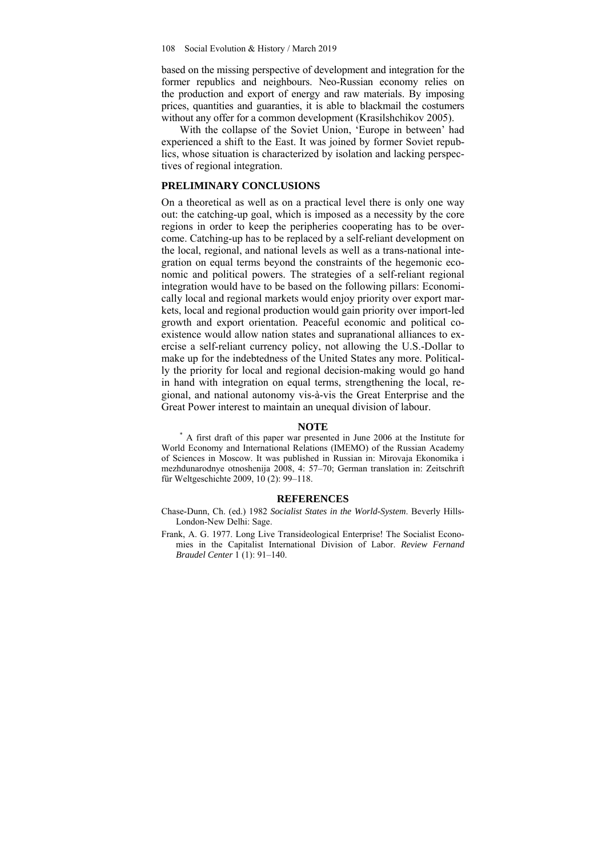based on the missing perspective of development and integration for the former republics and neighbours. Neo-Russian economy relies on the production and export of energy and raw materials. By imposing prices, quantities and guaranties, it is able to blackmail the costumers without any offer for a common development (Krasilshchikov 2005).

With the collapse of the Soviet Union, 'Europe in between' had experienced a shift to the East. It was joined by former Soviet republics, whose situation is characterized by isolation and lacking perspectives of regional integration.

### **PRELIMINARY CONCLUSIONS**

On a theoretical as well as on a practical level there is only one way out: the catching-up goal, which is imposed as a necessity by the core regions in order to keep the peripheries cooperating has to be overcome. Catching-up has to be replaced by a self-reliant development on the local, regional, and national levels as well as a trans-national integration on equal terms beyond the constraints of the hegemonic economic and political powers. The strategies of a self-reliant regional integration would have to be based on the following pillars: Economically local and regional markets would enjoy priority over export markets, local and regional production would gain priority over import-led growth and export orientation. Peaceful economic and political coexistence would allow nation states and supranational alliances to exercise a self-reliant currency policy, not allowing the U.S.-Dollar to make up for the indebtedness of the United States any more. Politically the priority for local and regional decision-making would go hand in hand with integration on equal terms, strengthening the local, regional, and national autonomy vis-à-vis the Great Enterprise and the Great Power interest to maintain an unequal division of labour.

**NOTE**<br>
<sup>\*</sup> A first draft of this paper war presented in June 2006 at the Institute for World Economy and International Relations (IMEMO) of the Russian Academy of Sciences in Moscow. It was published in Russian in: Mirovaja Ekonomika i mezhdunarodnye otnoshenija 2008, 4: 57–70; German translation in: Zeitschrift für Weltgeschichte 2009, 10 (2): 99–118.

#### **REFERENCES**

Chase-Dunn, Ch. (ed.) 1982 *Socialist States in the World-System*. Beverly Hills-London-New Delhi: Sage.

Frank, A. G. 1977. Long Live Transideological Enterprise! The Socialist Economies in the Capitalist International Division of Labor. *Review Fernand Braudel Center* 1 (1): 91–140.